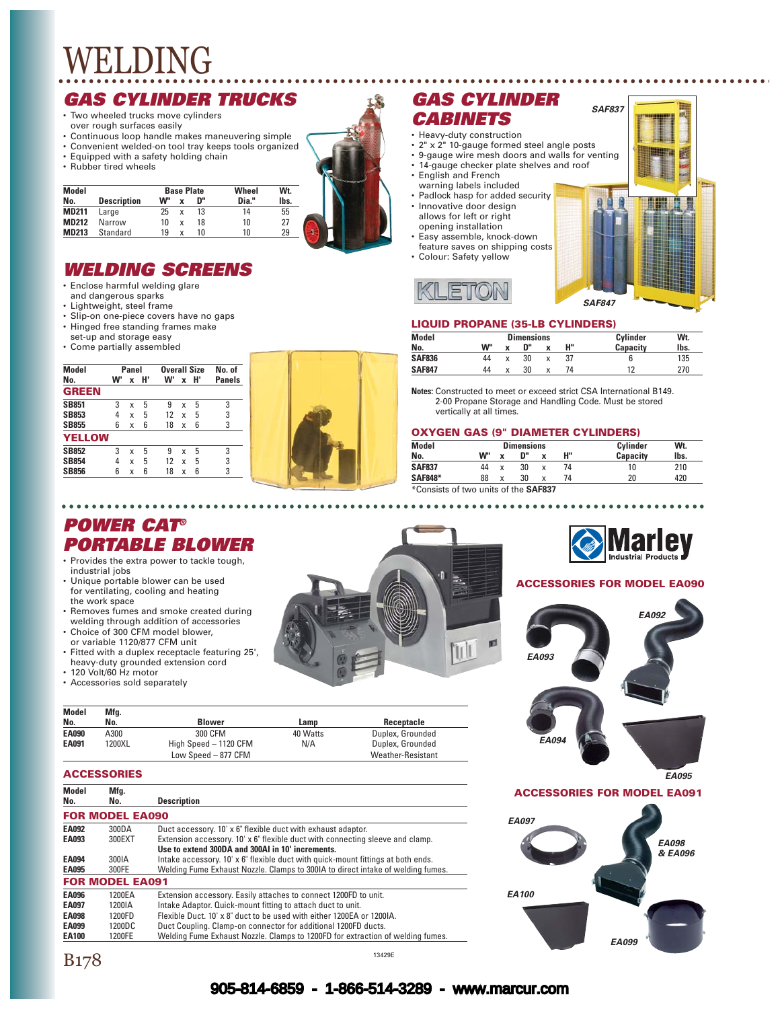#### *GAS CYLINDER TRUCKS*

- Two wheeled trucks move cylinders over rough surfaces easily
- 
- Continuous loop handle makes maneuvering simple • Convenient welded-on tool tray keeps tools organized
- Equipped with a safety holding chain
- Rubber tired wheels

| <b>Model</b> |                    |    | <b>Base Plate</b> |    | Wheel | Wt.  |   |  |
|--------------|--------------------|----|-------------------|----|-------|------|---|--|
| No.          | <b>Description</b> | w" |                   | n" | Dia." | lbs. |   |  |
| <b>MD211</b> | Large              | 25 | x                 | 13 | 14    | 55   |   |  |
| <b>MD212</b> | Narrow             | 10 | x                 | 18 | 10    | 27   |   |  |
| <b>MD213</b> | Standard           | 19 | x                 | 10 | 10    | 29   | ٠ |  |

#### *WELDING SCREENS*

- Enclose harmful welding glare
- and dangerous sparks
- Lightweight, steel frame
- Slip-on one-piece covers have no gaps
- Hinged free standing frames make
- set-up and storage easy • Come partially assembled
- **Model Panel Overall Size No. of No. W' x H' W' x H' Panels GREEN SB851** 3 x 5 9 x 5 3<br>**SB853** 4 x 5 12 x 5 3 **SB853** 4 x 5 12 x 5 3 **SB855** 6 x 6 18 x 6 3 **YELLOW SB852** 3 x 5 9 x 5 3<br>**SB854** 4 x 5 12 x 5 3 **SB854** 4 x 5 12<br>**SB856** 6 x 6 18 **SB856** 6 x 6 18 x 6



### *GAS CYLINDER CABINETS*

- Heavy-duty construction
- 2" x 2" 10-gauge formed steel angle posts
- 9-gauge wire mesh doors and walls for venting • 14-gauge checker plate shelves and roof
- English and French
- warning labels included
- Padlock hasp for added security
- Innovative door design allows for left or right opening installation
- Easy assemble, knock-down feature saves on shipping costs
- Colour: Safety yellow





*SAF837*

#### **LIQUID PROPANE (35-LB CYLINDERS)**

| <b>Model</b>  | <b>Dimensions</b> |    |    | Cylinder | Wt.             |      |
|---------------|-------------------|----|----|----------|-----------------|------|
| No.           | <b>W"</b>         | ٠. | n" | н"       | <b>Capacity</b> | lbs. |
| <b>SAF836</b> | 44                | v  | 30 |          |                 | 135  |
| <b>SAF847</b> | 44                | v  | 30 |          | 19              | 270  |

**Notes:** Constructed to meet or exceed strict CSA International B149. 2-00 Propane Storage and Handling Code. Must be stored vertically at all times.

#### **OXYGEN GAS (9" DIAMETER CYLINDERS)**

| Model          | <b>Dimensions</b> |              |    |   | Cylinder | Wt.             |      |
|----------------|-------------------|--------------|----|---|----------|-----------------|------|
| No.            | w"                | $\checkmark$ | D" | v | н"       | <b>Capacity</b> | lbs. |
| <b>SAF837</b>  | 44                |              | 30 |   | 74       |                 | 210  |
| <b>SAF848*</b> | 88                | x            | 30 | x | 74       | 20              | 420  |
|                |                   |              |    |   |          |                 |      |

\*Consists of two units of the **SAF837**

ø

 $\mathbb{U}$ 



#### **ACCESSORIES FOR MODEL EA090**



*POWER CAT® PORTABLE BLOWER* • Provides the extra power to tackle tough,

- industrial jobs • Unique portable blower can be used for ventilating, cooling and heating
- the work space • Removes fumes and smoke created during
- welding through addition of accessories Choice of 300 CFM model blower,
- or variable 1120/877 CFM unit • Fitted with a duplex receptacle featuring 25',
- heavy-duty grounded extension cord • 120 Volt/60 Hz motor
- Accessories sold separately

| Model<br>No. | Mfg.<br>No. | <b>Blower</b>         | Lamp     | Receptacle               |
|--------------|-------------|-----------------------|----------|--------------------------|
| <b>EA090</b> | A300        | 300 CFM               | 40 Watts | Duplex, Grounded         |
| <b>EA091</b> | 1200XL      | High Speed - 1120 CFM | N/A      | Duplex, Grounded         |
|              |             | Low Speed - 877 CFM   |          | <b>Weather-Resistant</b> |

#### **ACCESSORIES**

| Model<br>No. | Mfg.<br>No.            | <b>Description</b>                                                               |
|--------------|------------------------|----------------------------------------------------------------------------------|
|              |                        |                                                                                  |
|              | <b>FOR MODEL EA090</b> |                                                                                  |
| <b>EA092</b> | 300DA                  | Duct accessory. 10' x 6" flexible duct with exhaust adaptor.                     |
| EA093        | 300EXT                 | Extension accessory. 10' x 6" flexible duct with connecting sleeve and clamp.    |
|              |                        | Use to extend 300DA and 300AI in 10' increments.                                 |
| <b>EA094</b> | 300IA                  | Intake accessory. 10' x 6" flexible duct with quick-mount fittings at both ends. |
| <b>EA095</b> | 300FE                  | Welding Fume Exhaust Nozzle. Clamps to 300IA to direct intake of welding fumes.  |
|              | <b>FOR MODEL EA091</b> |                                                                                  |
| <b>EA096</b> | 1200EA                 | Extension accessory. Easily attaches to connect 1200FD to unit.                  |
| <b>EA097</b> | 1200IA                 | Intake Adaptor. Quick-mount fitting to attach duct to unit.                      |
| <b>EA098</b> | 1200FD                 | Flexible Duct, 10' x 8" duct to be used with either 1200EA or 1200IA.            |
| EA099        | 1200DC                 | Duct Coupling. Clamp-on connector for additional 1200FD ducts.                   |
| <b>EA100</b> | 1200FE                 | Welding Fume Exhaust Nozzle. Clamps to 1200FD for extraction of welding fumes.   |

905-814-6859 - 1-866-514-3289 - www.marcur.com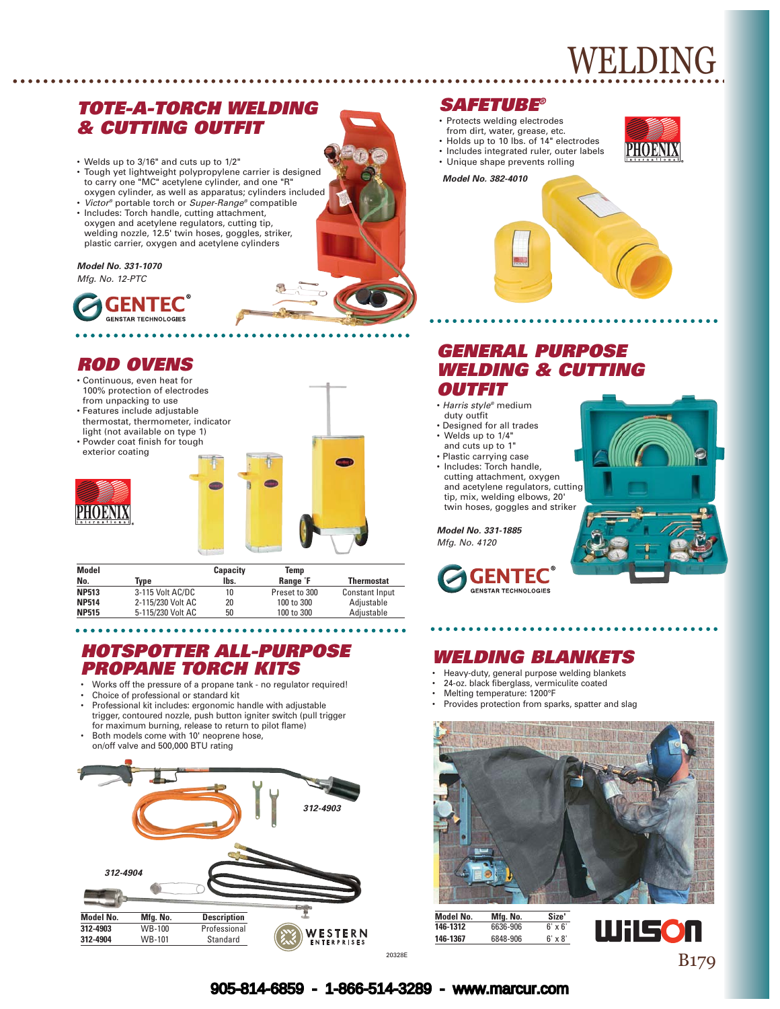### *TOTE-A-TORCH WELDING & CUTTING OUTFIT*

- Welds up to 3/16" and cuts up to 1/2"
- Tough yet lightweight polypropylene carrier is designed to carry one "MC" acetylene cylinder, and one "R" oxygen cylinder, as well as apparatus; cylinders included
- *Victor®* portable torch or *Super-Range®* compatible • Includes: Torch handle, cutting attachment, oxygen and acetylene regulators, cutting tip, welding nozzle, 12.5' twin hoses, goggles, striker, plastic carrier, oxygen and acetylene cylinders

#### *Model No. 331-1070*

*Mfg. No. 12-PTC*



# *ROD OVENS*

- Continuous, even heat for 100% protection of electrodes from unpacking to use
- Features include adjustable thermostat, thermometer, indicator light (not available on type 1)
- Powder coat finish for tough exterior coating





| Model        |                   | Capacity | Temp                 |                       |
|--------------|-------------------|----------|----------------------|-----------------------|
| No.          | Tvpe              | lbs.     | Range <sup>°</sup> F | <b>Thermostat</b>     |
| <b>NP513</b> | 3-115 Volt AC/DC  | 10       | Preset to 300        | <b>Constant Input</b> |
| <b>NP514</b> | 2-115/230 Volt AC | 20       | 100 to 300           | Adjustable            |
| <b>NP515</b> | 5-115/230 Volt AC | 50       | 100 to 300           | Adiustable            |

### *HOTSPOTTER ALL-PURPOSE PROPANE TORCH KITS*

- Works off the pressure of a propane tank no regulator required!
- Choice of professional or standard kit
- Professional kit includes: ergonomic handle with adjustable trigger, contoured nozzle, push button igniter switch (pull trigger for maximum burning, release to return to pilot flame)
- Both models come with 10' neoprene hose, on/off valve and 500,000 BTU rating



#### *SAFETUBE®*

- Protects welding electrodes
- from dirt, water, grease, etc.
- Holds up to 10 lbs. of 14" electrodes • Includes integrated ruler, outer labels
- Unique shape prevents rolling



*Model No. 382-4010*



## *GENERAL PURPOSE WELDING & CUTTING OUTFIT*

- *Harris style®* medium duty outfit
- Designed for all trades • Welds up to 1/4"
- and cuts up to 1"
- Plastic carrying case • Includes: Torch handle, cutting attachment, oxygen and acetylene regulators, cutting tip, mix, welding elbows, 20' twin hoses, goggles and striker

*Model No. 331-1885 Mfg. No. 4120*





# *WELDING BLANKETS*

- Heavy-duty, general purpose welding blankets
- 24-oz. black fiberglass, vermiculite coated
- Melting temperature: 1200°F
- Provides protection from sparks, spatter and slag



**Model No. Mfg. No. Size' Mfg. No.**<br>6636-906 **146-1367** 6848-906 6' x 8'



#### 905-814-6859 - 1-866-514-3289 - www.marcur.com

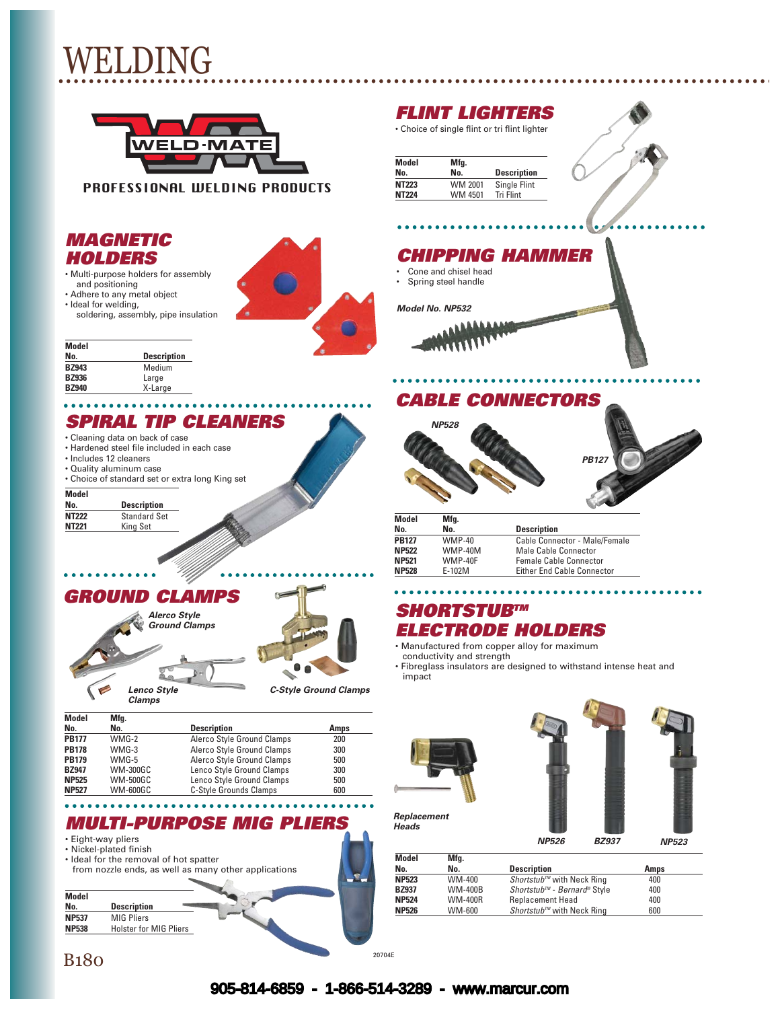

PROFESSIONAL WELDING PRODUCTS

#### *MAGNETIC HOLDERS*

• Multi-purpose holders for assembly and positioning



- Ideal for welding,
- soldering, assembly, pipe insulation

# *FLINT LIGHTERS*

| <b>Model</b> | Mfg.    |                    |
|--------------|---------|--------------------|
| No.          | No.     | <b>Description</b> |
| <b>NT223</b> | WM 2001 | Single Flint       |
| <b>NT224</b> | WM 4501 | <b>Tri Flint</b>   |

### *CHIPPING HAMMER*

• Cone and chisel head

• Spring steel handle

*Model No. NP532*





# *SPIRAL TIP CLEANERS*

*Alerco Style Ground Clamps*

ė

*GROUND CLAMPS*

*Clamps*

- Cleaning data on back of case
- Hardened steel file included in each case
- Includes 12 cleaners
- Quality aluminum case
- Choice of standard set or extra long King set

. . . . .

# **Model**

 $\bullet$   $\bullet$   $\bullet$ 

**Description NT222** Standard Set<br> **NT221** King Set **King Set** 



*Lenco Style C-Style Ground Clamps*

| Model        | Mfg.            |                            |      |
|--------------|-----------------|----------------------------|------|
| No.          | No.             | <b>Description</b>         | Amps |
| <b>PB177</b> | $WMG-2$         | Alerco Style Ground Clamps | 200  |
| <b>PB178</b> | $WMG-3$         | Alerco Style Ground Clamps | 300  |
| <b>PB179</b> | WMG-5           | Alerco Style Ground Clamps | 500  |
| <b>BZ947</b> | <b>WM-300GC</b> | Lenco Style Ground Clamps  | 300  |
| <b>NP525</b> | <b>WM-500GC</b> | Lenco Style Ground Clamps  | 500  |
| <b>NP527</b> | <b>WM-600GC</b> | C-Style Grounds Clamps     | 600  |

#### *MULTI-PURPOSE MIG PLIERS*

 $B180$  <sup>20704E</sup>

• Eight-way pliers

- Nickel-plated finish
- Ideal for the removal of hot spatter from nozzle ends, as well as many other applications



• Choice of single flint or tri flint lighter

|      | <b>Description</b> |  |
|------|--------------------|--|
| 2001 | Single Flint       |  |
| 4501 | <b>Tri Flint</b>   |  |
|      |                    |  |



#### *CABLE CONNECTORS*





| Model        | Mfg.     |                                   |
|--------------|----------|-----------------------------------|
| No.          | No.      | <b>Description</b>                |
| <b>PB127</b> | $WMP-40$ | Cable Connector - Male/Female     |
| <b>NP522</b> | WMP-40M  | Male Cable Connector              |
| NP521        | WMP-40F  | <b>Female Cable Connector</b>     |
| <b>NP528</b> | E-102M   | <b>Either End Cable Connector</b> |

### *SHORTSTUBTM ELECTRODE HOLDERS*

• Manufactured from copper alloy for maximum conductivity and strength

• Fibreglass insulators are designed to withstand intense heat and impact





. . . . . . . .

*Replacement Heads*

*NP526 BZ937 NP523*

| Model<br>No. | Mfg.<br>No.    | <b>Description</b>               | Amps |  |
|--------------|----------------|----------------------------------|------|--|
|              |                |                                  |      |  |
| <b>NP523</b> | WM-400         | <i>Shortstub™</i> with Neck Ring | 400  |  |
| <b>BZ937</b> | <b>WM-400B</b> | Shortstub™ - Bernard® Style      | 400  |  |
| <b>NP524</b> | <b>WM-400R</b> | <b>Replacement Head</b>          | 400  |  |
| <b>NP526</b> | WM-600         | <i>Shortstub™</i> with Neck Ring | 600  |  |
|              |                |                                  |      |  |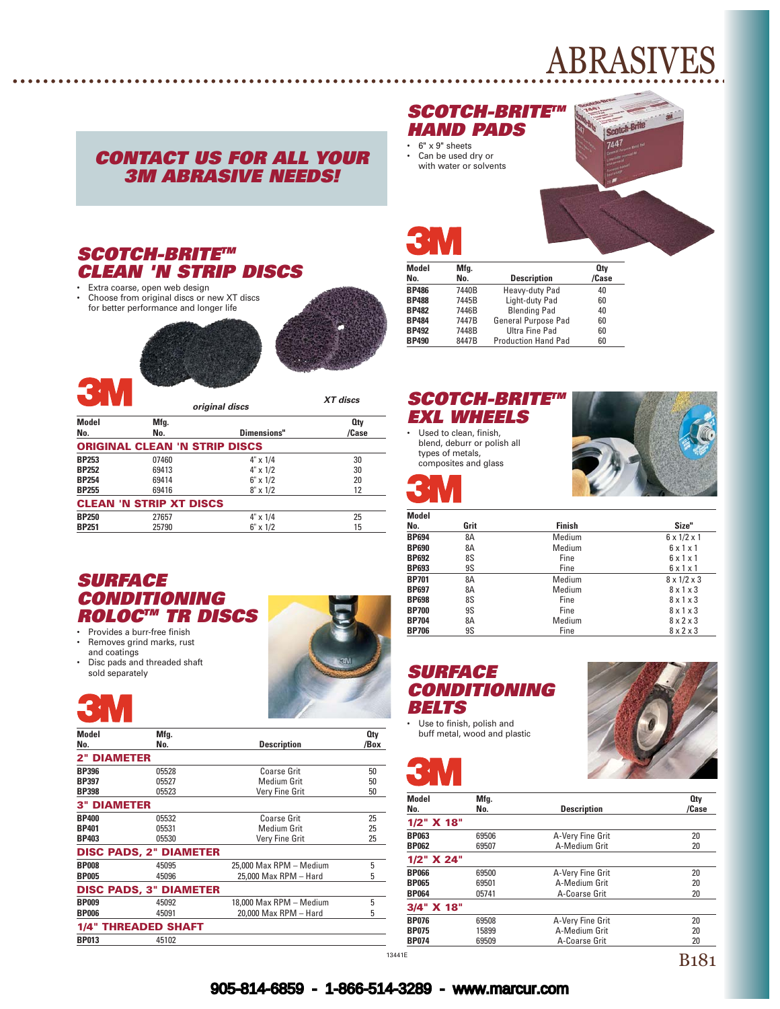# ABRASIVES

# *CONTACT US FOR ALL YOUR 3M ABRASIVE NEEDS!*

#### *SCOTCH-BRITETM CLEAN 'N STRIP DISCS*

• Extra coarse, open web design<br>• Choose from original discs or not Choose from original discs or new XT discs for better performance and longer life



*XT discs*



|              |                                      | original discs   |       |
|--------------|--------------------------------------|------------------|-------|
| Model        | Mfg.                                 |                  | 0ty   |
| No.          | No.                                  | Dimensions"      | /Case |
|              | <b>ORIGINAL CLEAN 'N STRIP DISCS</b> |                  |       |
| <b>BP253</b> | 07460                                | $4" \times 1/4$  | 30    |
| <b>BP252</b> | 69413                                | $4" \times 1/2$  | 30    |
| <b>BP254</b> | 69414                                | $6" \times 1/2$  | 20    |
| <b>BP255</b> | 69416                                | $8'' \times 1/2$ | 12    |
|              | <b>CLEAN 'N STRIP XT DISCS</b>       |                  |       |
| <b>BP250</b> | 27657                                | $4" \times 1/4$  | 25    |
| <b>BP251</b> | 25790                                | $6" \times 1/2$  | 15    |

#### *SURFACE CONDITIONING ROLOCTM TR DISCS*

- Provides a burr-free finish<br>• Bemoves grind marks, rus
- Removes grind marks, rust and coatings
- Disc pads and threaded shaft sold separately

**3M** 



| Model              | Mfg.                          |                         | 0 <sub>ty</sub> |
|--------------------|-------------------------------|-------------------------|-----------------|
| No.                | No.                           | <b>Description</b>      | /Box            |
| <b>2" DIAMETER</b> |                               |                         |                 |
| <b>BP396</b>       | 05528                         | Coarse Grit             | 50              |
| <b>BP397</b>       | 05527                         | Medium Grit             | 50              |
| <b>BP398</b>       | 05523                         | Very Fine Grit          | 50              |
| <b>3" DIAMETER</b> |                               |                         |                 |
| <b>BP400</b>       | 05532                         | <b>Coarse Grit</b>      | 25              |
| <b>BP401</b>       | 05531                         | <b>Medium Grit</b>      | 25              |
| <b>BP403</b>       | 05530                         | Very Fine Grit          | 25              |
|                    | <b>DISC PADS, 2" DIAMETER</b> |                         |                 |
| <b>BP008</b>       | 45095                         | 25,000 Max RPM - Medium | 5               |
| <b>BP005</b>       | 45096                         | 25.000 Max RPM - Hard   | 5               |
|                    | <b>DISC PADS, 3" DIAMETER</b> |                         |                 |
| <b>BP009</b>       | 45092                         | 18,000 Max RPM - Medium | 5               |
| <b>BP006</b>       | 45091                         | 20,000 Max RPM - Hard   | 5               |
|                    | <b>1/4" THREADED SHAFT</b>    |                         |                 |
| <b>BP013</b>       | 45102                         |                         |                 |

## *SCOTCH-BRITETM HAND PADS*

• 6" x 9" sheets • Can be used dry or with water or solvents



Ï

| <b>Model</b> | Mfg.  |                            | <b>Qtv</b> |
|--------------|-------|----------------------------|------------|
| No.          | No.   | <b>Description</b>         | /Case      |
| <b>BP486</b> | 7440B | Heavy-duty Pad             | 40         |
| <b>BP488</b> | 7445B | Light-duty Pad             | 60         |
| <b>BP482</b> | 7446B | <b>Blending Pad</b>        | 40         |
| <b>BP484</b> | 7447B | General Purpose Pad        | 60         |
| <b>BP492</b> | 7448B | Ultra Fine Pad             | 60         |
| <b>BP490</b> | 8447B | <b>Production Hand Pad</b> | 60         |

#### *SCOTCH-BRITETM EXL WHEELS*

• Used to clean, finish, blend, deburr or polish all types of metals, composites and glass



# C.

| Model        |      |               |                         |
|--------------|------|---------------|-------------------------|
| No.          | Grit | <b>Finish</b> | Size"                   |
| <b>BP694</b> | 8A   | Medium        | $6 \times 1/2 \times 1$ |
| <b>BP690</b> | 8A   | Medium        | 6x1x1                   |
| <b>BP692</b> | 8S   | Fine          | $6 \times 1 \times 1$   |
| <b>BP693</b> | 9S   | Fine          | $6 \times 1 \times 1$   |
| <b>BP701</b> | 8A   | Medium        | $8 \times 1/2 \times 3$ |
| <b>BP697</b> | 8A   | Medium        | $8 \times 1 \times 3$   |
| <b>BP698</b> | 8S   | Fine          | $8 \times 1 \times 3$   |
| <b>BP700</b> | 9S   | Fine          | $8 \times 1 \times 3$   |
| <b>BP704</b> | 8A   | Medium        | $8 \times 2 \times 3$   |
| <b>BP706</b> | 9S   | Fine          | $8 \times 2 \times 3$   |

# *SURFACE CONDITIONING BELTS*

• Use to finish, polish and buff metal, wood and plastic

**CIM** 



| Model<br>No.                 |  | Mfg.<br>No.    | <b>Description</b>                | <b>Oty</b><br>/Case |
|------------------------------|--|----------------|-----------------------------------|---------------------|
| 1/2" X 18"                   |  |                |                                   |                     |
| <b>BP063</b><br><b>BP062</b> |  | 69506<br>69507 | A-Very Fine Grit<br>A-Medium Grit | 20<br>20            |
| 1/2" X 24"                   |  |                |                                   |                     |
| <b>BP066</b>                 |  | 69500          | A-Very Fine Grit                  | 20                  |
| <b>BP065</b><br><b>BP064</b> |  | 69501<br>05741 | A-Medium Grit<br>A-Coarse Grit    | 20<br>20            |
| 3/4" X 18"                   |  |                |                                   |                     |
| <b>BP076</b>                 |  | 69508          | A-Very Fine Grit                  | 20                  |
| <b>BP075</b>                 |  | 15899          | A-Medium Grit                     | 20                  |
| <b>BP074</b>                 |  | 69509          | A-Coarse Grit                     | 20                  |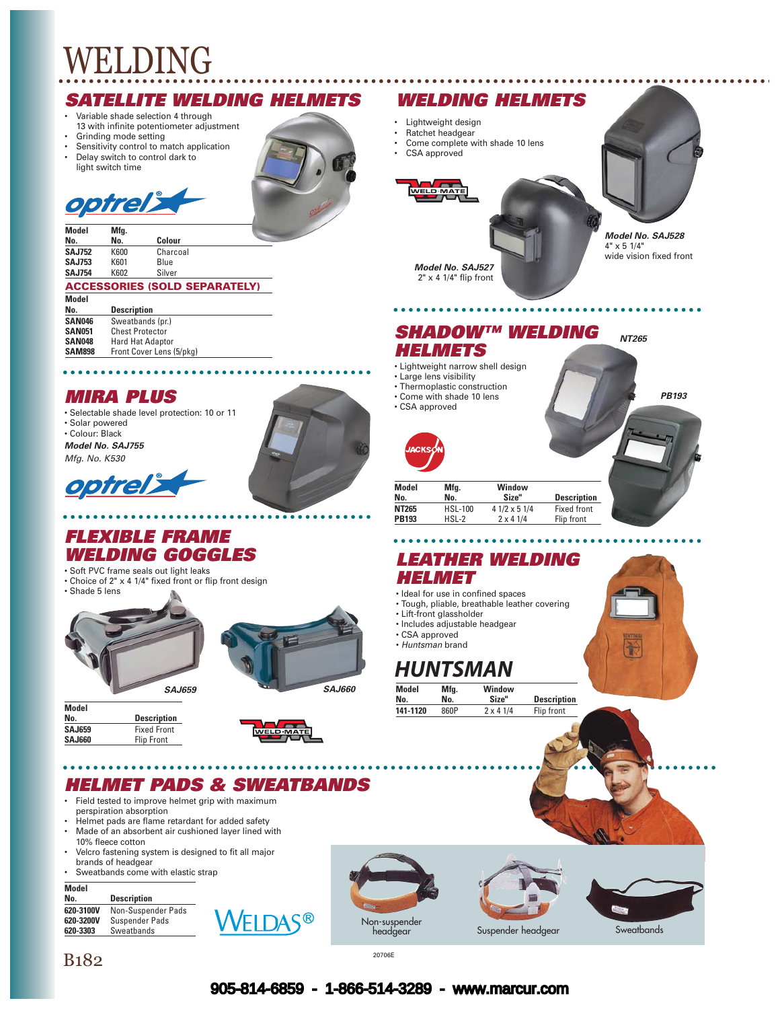#### *SATELLITE WELDING HELMETS*

- Variable shade selection 4 through
- 13 with infinite potentiometer adjustment • Grinding mode setting
- Sensitivity control to match application
- Delay switch to control dark to light switch time





**Model Mfg. No. No. Colour K600** Charcoal<br>**K601** Blue **SAJ753** K601 Blue<br>**SAJ754** K602 Silver **SAJ754** 

#### **ACCESSORIES (SOLD SEPARATELY)**

| <b>Description</b>       |
|--------------------------|
| Sweatbands (pr.)         |
| <b>Chest Protector</b>   |
| <b>Hard Hat Adaptor</b>  |
| Front Cover Lens (5/pkg) |
|                          |

## *MIRA PLUS*

• Selectable shade level protection: 10 or 11 • Solar powered • Colour: Black *Model No. SAJ755 Mfg. No. K530*



# *FLEXIBLE FRAME WELDING GOGGLES*

- Soft PVC frame seals out light leaks • Choice of 2" x 4 1/4" fixed front or flip front design
- Shade 5 lens





 $\bullet$ 

| Model         |                    |
|---------------|--------------------|
| No.           | <b>Description</b> |
| <b>SAJ659</b> | <b>Fixed Front</b> |
| <b>SAJ660</b> | <b>Flip Front</b>  |



# *HELMET PADS & SWEATBANDS*

- Field tested to improve helmet grip with maximum perspiration absorption
- Helmet pads are flame retardant for added safety Made of an absorbent air cushioned layer lined with 10% fleece cotton
- Velcro fastening system is designed to fit all major brands of headgear
- Sweatbands come with elastic strap

#### **Model**

| No. |  | <b>Description</b>    |
|-----|--|-----------------------|
|     |  | COO DAOOM ALAN Cusasa |

| 620-3100V | Non-Suspender Pads    |
|-----------|-----------------------|
| 620-3200V | <b>Suspender Pads</b> |
| 620-3303  | Sweatbands            |
|           |                       |











*NT265*

*PB193*

*Model No. SAJ527* 2" x 4 1/4" flip front

• Lightweight design • Ratchet headgear

CSA approved

#### *SHADOW™ WELDING HELMETS*

- Lightweight narrow shell design
- Large lens visibility
- Thermoplastic construction
- Come with shade 10 lens • CSA approved
- 



| Model<br>No. | Mfg.<br>No.    | Window<br>Size"    | <b>Description</b> |
|--------------|----------------|--------------------|--------------------|
| NT265        | <b>HSL-100</b> | $41/2 \times 51/4$ | <b>Fixed front</b> |
| <b>PB193</b> | $HSL-2$        | $2 \times 41/4$    | Flip front         |

### *LEATHER WELDING HELMET*

- Ideal for use in confined spaces
- Tough, pliable, breathable leather covering
- Lift-front glassholder
- Includes adjustable headgear
- CSA approved
- *Huntsman* brand

# *HUNTSMAN*

| Model    | Mfg. | Window          |                    |  |
|----------|------|-----------------|--------------------|--|
| No.      | No.  | Size"           | <b>Description</b> |  |
| 141-1120 | 860P | $2 \times 41/4$ | Flip front         |  |



 $B182$  20706E

#### 905-814-6859 - 1-866-514-3289 - www.marcur.com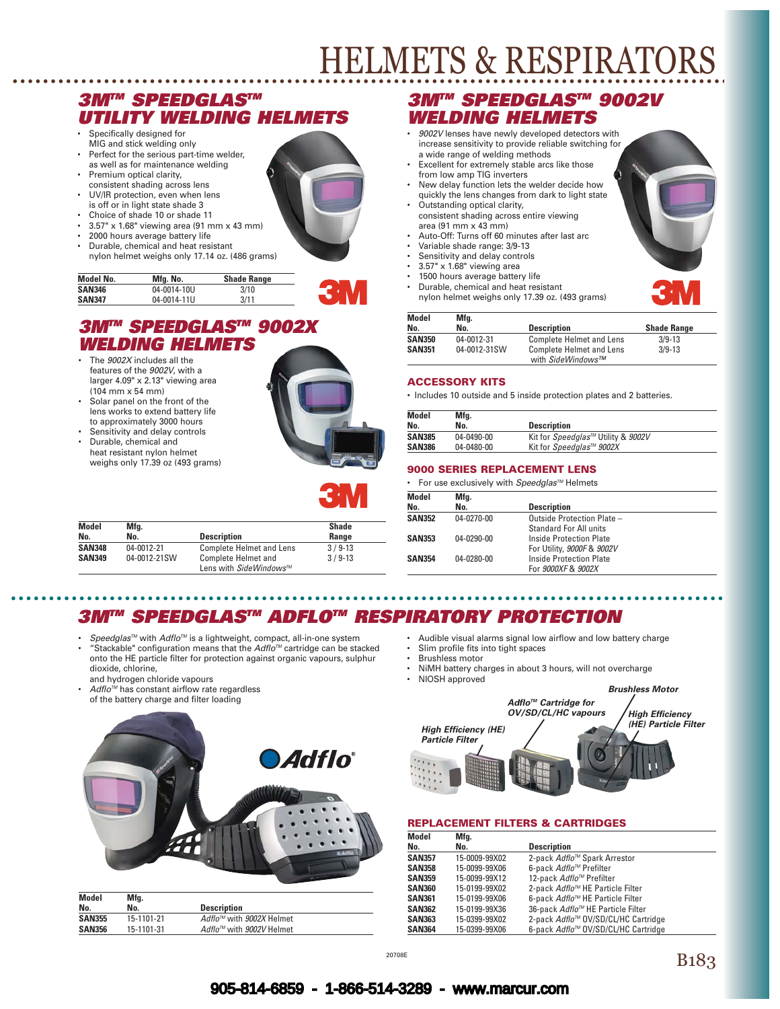# HELMETS & RESPIRATORS

### *3MTM SPEEDGLASTM UTILITY WELDING HELMETS*

- Specifically designed for MIG and stick welding only
- Perfect for the serious part-time welder, as well as for maintenance welding
- **Premium optical clarity,** consistent shading across lens
- UV/IR protection, even when lens is off or in light state shade 3
- Choice of shade 10 or shade 11
- 3.57" x 1.68" viewing area (91 mm x 43 mm)
- 2000 hours average battery life
- Durable, chemical and heat resistant
- nylon helmet weighs only 17.14 oz. (486 grams)

| Model No. | Mfa. No.    | <b>Shade Range</b> |  |
|-----------|-------------|--------------------|--|
| SAN346    | 04-0014-10U | 3/10               |  |
| SAN347    | 04-0014-11U | 3/11               |  |

### *3MTM SPEEDGLASTM 9002X WELDING HELMETS*

- The *9002X* includes all the features of the *9002V*, with a larger 4.09" x 2.13" viewing area (104 mm x 54 mm)
- Solar panel on the front of the lens works to extend battery life to approximately 3000 hours
- Sensitivity and delay controls • Durable, chemical and
- heat resistant nylon helmet weighs only 17.39 oz (493 grams)



| <b>Model</b>  | Mfg.         |                                                      | <b>Shade</b> |
|---------------|--------------|------------------------------------------------------|--------------|
| No.           | No.          | <b>Description</b>                                   | Range        |
| <b>SAN348</b> | 04-0012-21   | <b>Complete Helmet and Lens</b>                      | $3/9-13$     |
| <b>SAN349</b> | 04-0012-21SW | <b>Complete Helmet and</b><br>Lens with SideWindows™ | $3/9-13$     |

# *3MTM SPEEDGLASTM 9002V WELDING HELMETS*

- *9002V* lenses have newly developed detectors with increase sensitivity to provide reliable switching for a wide range of welding methods
- Excellent for extremely stable arcs like those from low amp TIG inverters
- New delay function lets the welder decide how quickly the lens changes from dark to light state
- Outstanding optical clarity, consistent shading across entire viewing area (91 mm x 43 mm)
- Auto-Off: Turns off 60 minutes after last arc
- Variable shade range: 3/9-13
- Sensitivity and delay controls
- $3.57" \times 1.68"$  viewing area
- 1500 hours average battery life
- Durable, chemical and heat resistant nylon helmet weighs only 17.39 oz. (493 grams)

| <b>Model</b>  | Mfg.         |                                 |                    |
|---------------|--------------|---------------------------------|--------------------|
| No.           | No.          | <b>Description</b>              | <b>Shade Range</b> |
| <b>SAN350</b> | 04-0012-31   | <b>Complete Helmet and Lens</b> | $3/9-13$           |
| <b>SAN351</b> | 04-0012-31SW | <b>Complete Helmet and Lens</b> | $3/9 - 13$         |
|               |              | with SideWindows™               |                    |

#### **ACCESSORY KITS**

• Includes 10 outside and 5 inside protection plates and 2 batteries.

| Model         | Mfg.       |                                    |
|---------------|------------|------------------------------------|
| No.           | No.        | <b>Description</b>                 |
| <b>SAN385</b> | 04-0490-00 | Kit for Speedglas™ Utility & 9002V |
| <b>SAN386</b> | 04-0480-00 | Kit for Speedalas™ 9002X           |

#### **9000 SERIES REPLACEMENT LENS**

• For use exclusively with *SpeedglasTM* Helmets

| Model         | Mfg.       |                               |  |
|---------------|------------|-------------------------------|--|
| No.           | No.        | <b>Description</b>            |  |
| <b>SAN352</b> | 04-0270-00 | Outside Protection Plate -    |  |
|               |            | <b>Standard For All units</b> |  |
| <b>SAN353</b> | 04-0290-00 | Inside Protection Plate       |  |
|               |            | For Utility, 9000F & 9002V    |  |
| <b>SAN354</b> | 04-0280-00 | Inside Protection Plate       |  |
|               |            | For 9000XF & 9002X            |  |

# *3MTM SPEEDGLASTM ADFLOTM RESPIRATORY PROTECTION*

Speedglas<sup>™</sup> with *Adflo<sup>™</sup>* is a lightweight, compact, all-in-one system • "Stackable" configuration means that the *AdfloTM* cartridge can be stacked onto the HE particle filter for protection against organic vapours, sulphur dioxide, chlorine,

and hydrogen chloride vapours

Adflo<sup>™</sup> has constant airflow rate regardless of the battery charge and filter loading



| <b>Model</b>  | Mfg.       |                                      |
|---------------|------------|--------------------------------------|
| No.           | No.        | <b>Description</b>                   |
| <b>SAN355</b> | 15-1101-21 | Adflo™ with 9002X Helmet             |
| <b>SAN356</b> | 15-1101-31 | Adflo <sup>™</sup> with 9002V Helmet |

- Audible visual alarms signal low airflow and low battery charge
	- Slim profile fits into tight spaces
	- Brushless motor • NiMH battery charges in about 3 hours, will not overcharge
	- NIOSH approved



#### **REPLACEMENT FILTERS & CARTRIDGES**

| Model         | Mfg.          |                                                 |
|---------------|---------------|-------------------------------------------------|
| No.           | No.           | <b>Description</b>                              |
| <b>SAN357</b> | 15-0009-99X02 | 2-pack Adflo™ Spark Arrestor                    |
| <b>SAN358</b> | 15-0099-99X06 | 6-pack Adflo™ Prefilter                         |
| <b>SAN359</b> | 15-0099-99X12 | 12-pack Adflo™ Prefilter                        |
| <b>SAN360</b> | 15-0199-99X02 | 2-pack Adflo <sup>™</sup> HE Particle Filter    |
| <b>SAN361</b> | 15-0199-99X06 | 6-pack Adflo <sup>™</sup> HE Particle Filter    |
| <b>SAN362</b> | 15-0199-99X36 | 36-pack Adflo™ HE Particle Filter               |
| <b>SAN363</b> | 15-0399-99X02 | 2-pack Adflo <sup>™</sup> OV/SD/CL/HC Cartridge |
| <b>SAN364</b> | 15-0399-99X06 | 6-pack Adflo <sup>™</sup> OV/SD/CL/HC Cartridge |